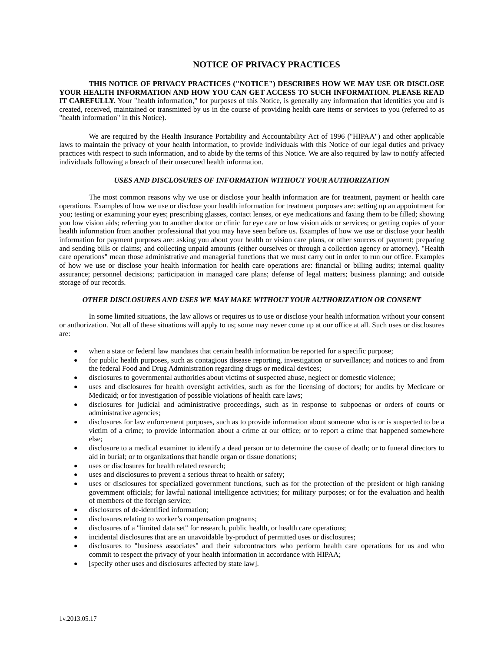# **NOTICE OF PRIVACY PRACTICES**

**THIS NOTICE OF PRIVACY PRACTICES ("NOTICE") DESCRIBES HOW WE MAY USE OR DISCLOSE YOUR HEALTH INFORMATION AND HOW YOU CAN GET ACCESS TO SUCH INFORMATION. PLEASE READ IT CAREFULLY.** Your "health information," for purposes of this Notice, is generally any information that identifies you and is created, received, maintained or transmitted by us in the course of providing health care items or services to you (referred to as "health information" in this Notice).

We are required by the Health Insurance Portability and Accountability Act of 1996 ("HIPAA") and other applicable laws to maintain the privacy of your health information, to provide individuals with this Notice of our legal duties and privacy practices with respect to such information, and to abide by the terms of this Notice. We are also required by law to notify affected individuals following a breach of their unsecured health information.

#### *USES AND DISCLOSURES OF INFORMATION WITHOUT YOUR AUTHORIZATION*

The most common reasons why we use or disclose your health information are for treatment, payment or health care operations. Examples of how we use or disclose your health information for treatment purposes are: setting up an appointment for you; testing or examining your eyes; prescribing glasses, contact lenses, or eye medications and faxing them to be filled; showing you low vision aids; referring you to another doctor or clinic for eye care or low vision aids or services; or getting copies of your health information from another professional that you may have seen before us. Examples of how we use or disclose your health information for payment purposes are: asking you about your health or vision care plans, or other sources of payment; preparing and sending bills or claims; and collecting unpaid amounts (either ourselves or through a collection agency or attorney). "Health care operations" mean those administrative and managerial functions that we must carry out in order to run our office. Examples of how we use or disclose your health information for health care operations are: financial or billing audits; internal quality assurance; personnel decisions; participation in managed care plans; defense of legal matters; business planning; and outside storage of our records.

## *OTHER DISCLOSURES AND USES WE MAY MAKE WITHOUT YOUR AUTHORIZATION OR CONSENT*

In some limited situations, the law allows or requires us to use or disclose your health information without your consent or authorization. Not all of these situations will apply to us; some may never come up at our office at all. Such uses or disclosures are:

- when a state or federal law mandates that certain health information be reported for a specific purpose;
- for public health purposes, such as contagious disease reporting, investigation or surveillance; and notices to and from the federal Food and Drug Administration regarding drugs or medical devices;
- disclosures to governmental authorities about victims of suspected abuse, neglect or domestic violence;
- uses and disclosures for health oversight activities, such as for the licensing of doctors; for audits by Medicare or Medicaid; or for investigation of possible violations of health care laws;
- disclosures for judicial and administrative proceedings, such as in response to subpoenas or orders of courts or administrative agencies;
- disclosures for law enforcement purposes, such as to provide information about someone who is or is suspected to be a victim of a crime; to provide information about a crime at our office; or to report a crime that happened somewhere else;
- disclosure to a medical examiner to identify a dead person or to determine the cause of death; or to funeral directors to aid in burial; or to organizations that handle organ or tissue donations;
- uses or disclosures for health related research;
- uses and disclosures to prevent a serious threat to health or safety;
- uses or disclosures for specialized government functions, such as for the protection of the president or high ranking government officials; for lawful national intelligence activities; for military purposes; or for the evaluation and health of members of the foreign service;
- disclosures of de-identified information;
- disclosures relating to worker's compensation programs;
- disclosures of a "limited data set" for research, public health, or health care operations;
- incidental disclosures that are an unavoidable by-product of permitted uses or disclosures;
- disclosures to "business associates" and their subcontractors who perform health care operations for us and who commit to respect the privacy of your health information in accordance with HIPAA;
- [specify other uses and disclosures affected by state law].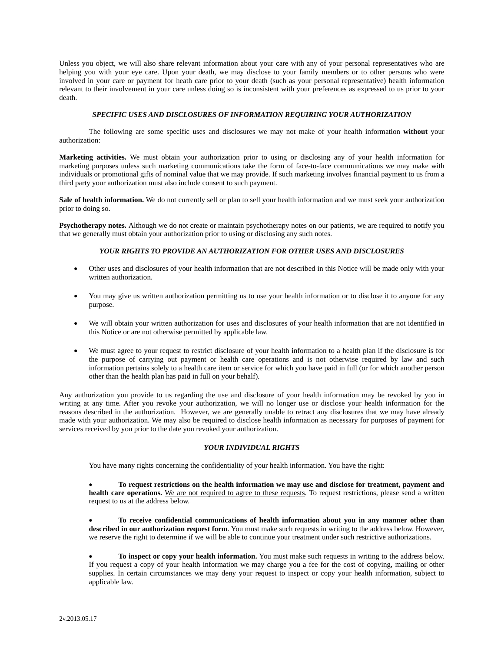Unless you object, we will also share relevant information about your care with any of your personal representatives who are helping you with your eye care. Upon your death, we may disclose to your family members or to other persons who were involved in your care or payment for heath care prior to your death (such as your personal representative) health information relevant to their involvement in your care unless doing so is inconsistent with your preferences as expressed to us prior to your death.

### *SPECIFIC USES AND DISCLOSURES OF INFORMATION REQUIRING YOUR AUTHORIZATION*

The following are some specific uses and disclosures we may not make of your health information **without** your authorization:

**Marketing activities.** We must obtain your authorization prior to using or disclosing any of your health information for marketing purposes unless such marketing communications take the form of face-to-face communications we may make with individuals or promotional gifts of nominal value that we may provide. If such marketing involves financial payment to us from a third party your authorization must also include consent to such payment.

Sale of health information. We do not currently sell or plan to sell your health information and we must seek your authorization prior to doing so.

**Psychotherapy notes.** Although we do not create or maintain psychotherapy notes on our patients, we are required to notify you that we generally must obtain your authorization prior to using or disclosing any such notes.

## *YOUR RIGHTS TO PROVIDE AN AUTHORIZATION FOR OTHER USES AND DISCLOSURES*

- Other uses and disclosures of your health information that are not described in this Notice will be made only with your written authorization.
- You may give us written authorization permitting us to use your health information or to disclose it to anyone for any purpose.
- We will obtain your written authorization for uses and disclosures of your health information that are not identified in this Notice or are not otherwise permitted by applicable law.
- We must agree to your request to restrict disclosure of your health information to a health plan if the disclosure is for the purpose of carrying out payment or health care operations and is not otherwise required by law and such information pertains solely to a health care item or service for which you have paid in full (or for which another person other than the health plan has paid in full on your behalf).

Any authorization you provide to us regarding the use and disclosure of your health information may be revoked by you in writing at any time. After you revoke your authorization, we will no longer use or disclose your health information for the reasons described in the authorization. However, we are generally unable to retract any disclosures that we may have already made with your authorization. We may also be required to disclose health information as necessary for purposes of payment for services received by you prior to the date you revoked your authorization.

### *YOUR INDIVIDUAL RIGHTS*

You have many rights concerning the confidentiality of your health information. You have the right:

 **To request restrictions on the health information we may use and disclose for treatment, payment and**  health care operations. We are not required to agree to these requests. To request restrictions, please send a written request to us at the address below.

 **To receive confidential communications of health information about you in any manner other than described in our authorization request form**. You must make such requests in writing to the address below. However, we reserve the right to determine if we will be able to continue your treatment under such restrictive authorizations.

 **To inspect or copy your health information.** You must make such requests in writing to the address below. If you request a copy of your health information we may charge you a fee for the cost of copying, mailing or other supplies. In certain circumstances we may deny your request to inspect or copy your health information, subject to applicable law.